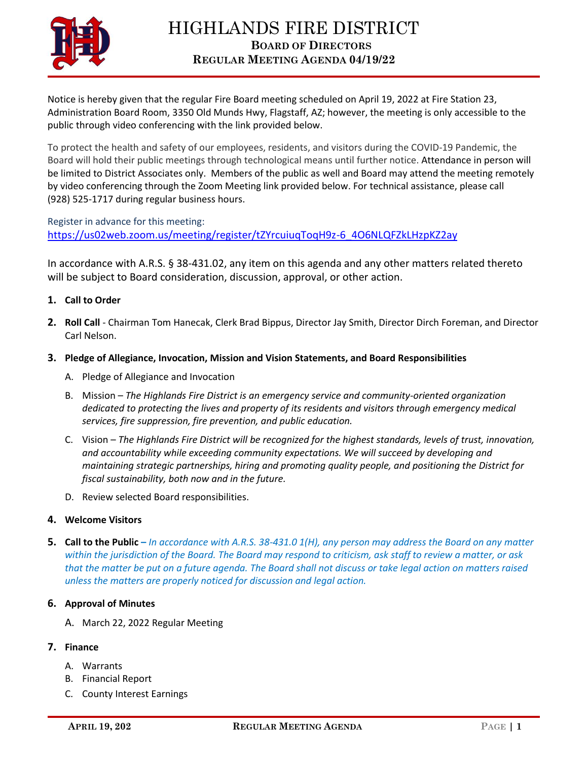

Notice is hereby given that the regular Fire Board meeting scheduled on April 19, 2022 at Fire Station 23, Administration Board Room, 3350 Old Munds Hwy, Flagstaff, AZ; however, the meeting is only accessible to the public through video conferencing with the link provided below.

To protect the health and safety of our employees, residents, and visitors during the COVID-19 Pandemic, the Board will hold their public meetings through technological means until further notice. Attendance in person will be limited to District Associates only. Members of the public as well and Board may attend the meeting remotely by video conferencing through the Zoom Meeting link provided below. For technical assistance, please call (928) 525-1717 during regular business hours.

Register in advance for this meeting: [https://us02web.zoom.us/meeting/register/tZYrcuiuqToqH9z-6\\_4O6NLQFZkLHzpKZ2ay](https://us02web.zoom.us/meeting/register/tZYrcuiuqToqH9z-6_4O6NLQFZkLHzpKZ2ay)

In accordance with A.R.S. § 38-431.02, any item on this agenda and any other matters related thereto will be subject to Board consideration, discussion, approval, or other action.

# **1. Call to Order**

- **2. Roll Call** Chairman Tom Hanecak, Clerk Brad Bippus, Director Jay Smith, Director Dirch Foreman, and Director Carl Nelson.
- **3. Pledge of Allegiance, Invocation, Mission and Vision Statements, and Board Responsibilities**
	- A. Pledge of Allegiance and Invocation
	- B. Mission *The Highlands Fire District is an emergency service and community-oriented organization dedicated to protecting the lives and property of its residents and visitors through emergency medical services, fire suppression, fire prevention, and public education.*
	- C. Vision *The Highlands Fire District will be recognized for the highest standards, levels of trust, innovation, and accountability while exceeding community expectations. We will succeed by developing and maintaining strategic partnerships, hiring and promoting quality people, and positioning the District for fiscal sustainability, both now and in the future.*
	- D. Review selected Board responsibilities.

# **4. Welcome Visitors**

**5. Call to the Public –** *In accordance with A.R.S. 38-431.0 1(H), any person may address the Board on any matter within the jurisdiction of the Board. The Board may respond to criticism, ask staff to review a matter, or ask that the matter be put on a future agenda. The Board shall not discuss or take legal action on matters raised unless the matters are properly noticed for discussion and legal action.*

# **6. Approval of Minutes**

A. March 22, 2022 Regular Meeting

# **7. Finance**

- A. Warrants
- B. Financial Report
- C. County Interest Earnings